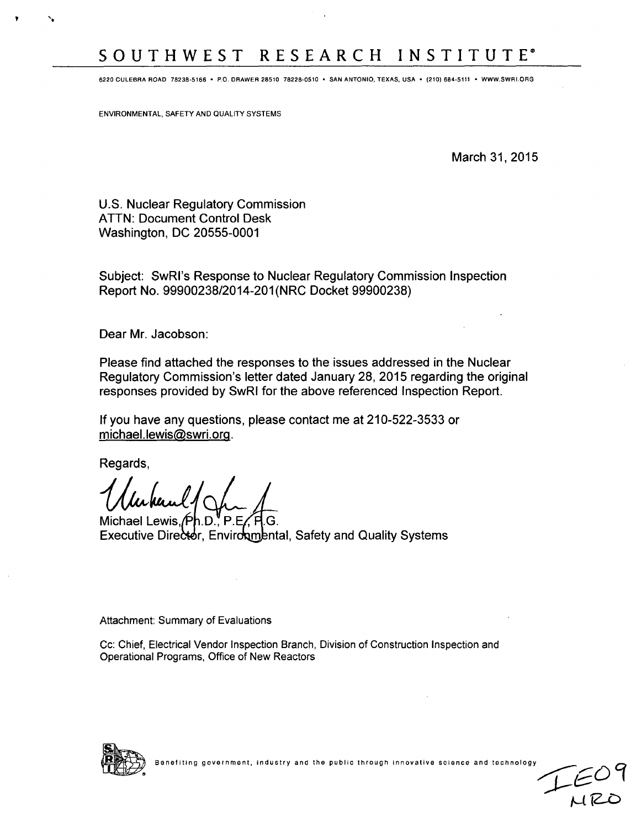# SOUTHWEST RESEARCH INSTITUTE"

**6220 CULEBRA** ROAD **78238-5166** • P.O. DRAWER **28510 78228-0510** ° **SAN ANTONIO, TEXAS, USA** ° (210) **684-5111 -** WWW.SWRI.ORG

ENVIRONMENTAL, SAFETY AND QUALITY SYSTEMS

**N,**

March 31, 2015

تاستا۔<br>NR

U.S. Nuclear Regulatory Commission ATTN: Document Control Desk Washington, DC 20555-0001

Subject: SwRI's Response to Nuclear Regulatory Commission Inspection Report No. 99900238/2014-201(NRC Docket 99900238)

Dear Mr. Jacobson:

Please find attached the responses to the issues addressed in the Nuclear Regulatory Commission's letter dated January 28, 2015 regarding the original responses provided by SwRl for the above referenced Inspection Report.

If you have any questions, please contact me at 210-522-3533 or michael.lewis@swri.org.

Regards,

Michael Lewis, **Ph.D.** P.E Executive Director, Environ mental, Safety and Quality Systems

### Attachment: Summary of Evaluations

Cc: Chief, Electrical Vendor Inspection Branch, Division of Construction Inspection and Operational Programs, Office of New Reactors



Benefiting government, industry and the public through innovative science and technol ogy **Ct**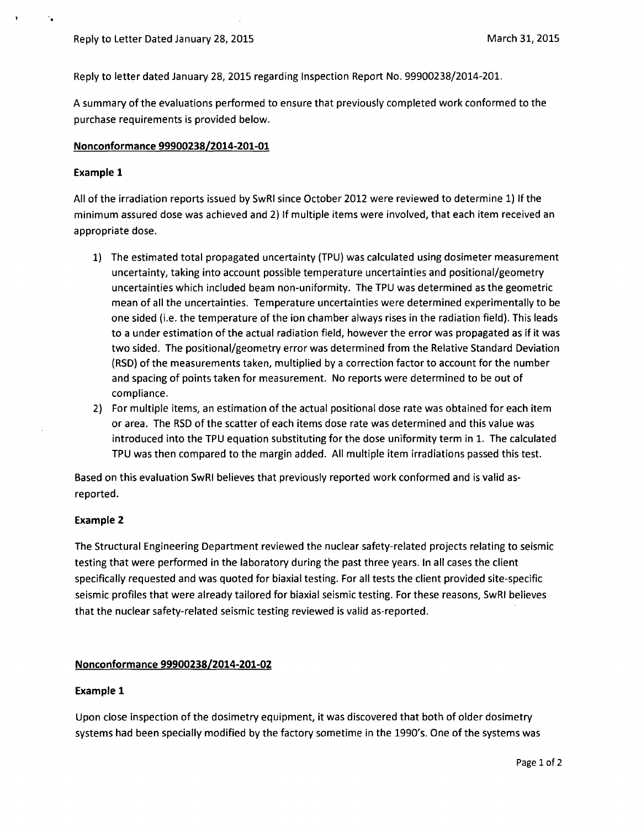Reply to letter dated January **28, 2015** regarding Inspection Report No. **99900238/2014-201.**

**A** summary of the evaluations performed to ensure that previously completed work conformed to the purchase requirements is provided below.

#### Nonconformance **99900238/2014-201-01**

### Example **1**

**All** of the irradiation reports issued **by** SwRl since October 2012 were reviewed to determine **1) if** the minimum assured dose was achieved and 2) **If** multiple items were involved, that each item received an appropriate dose.

- **1)** The estimated total propagated uncertainty **(TPU)** was calculated using dosimeter measurement uncertainty, taking into account possible temperature uncertainties and positional/geometry uncertainties which included beam non-uniformity. The **TPU** was determined as the geometric mean of all the uncertainties. Temperature uncertainties were determined experimentally to be one sided (i.e. the temperature of the ion chamber always rises in the radiation field). This leads to a under estimation of the actual radiation field, however the error was propagated as if it was two sided. The positional/geometry error was determined from the Relative Standard Deviation (RSD) of the measurements taken, multiplied **by** a correction factor to account for the number and spacing of points taken for measurement. No reports were determined to be out of compliance.
- 2) For multiple items, an estimation of the actual positional dose rate was obtained for each item or area. The RSD of the scatter of each items dose rate was determined and this value was introduced into the **TPU** equation substituting for the dose uniformity term in **1.** The calculated **TPU** was then compared to the margin added. **All** multiple item irradiations passed this test.

Based on this evaluation SwRI believes that previously reported work conformed and is valid asreported.

# Example 2

The Structural Engineering Department reviewed the nuclear safety-related projects relating to seismic testing that were performed in the laboratory during the past three years. In all cases the client specifically requested and was quoted for biaxial testing. For all tests the client provided site-specific seismic profiles that were already tailored for biaxial seismic testing. For these reasons, SwRl believes that the nuclear safety-related seismic testing reviewed is valid as-reported.

# Nonconformance **99900238/2014-201-02**

#### Example **1**

Upon close inspection of the dosimetry equipment, it was discovered that both of older dosimetry systems had been specially modified **by** the factory sometime in the 1990's. One of the systems was